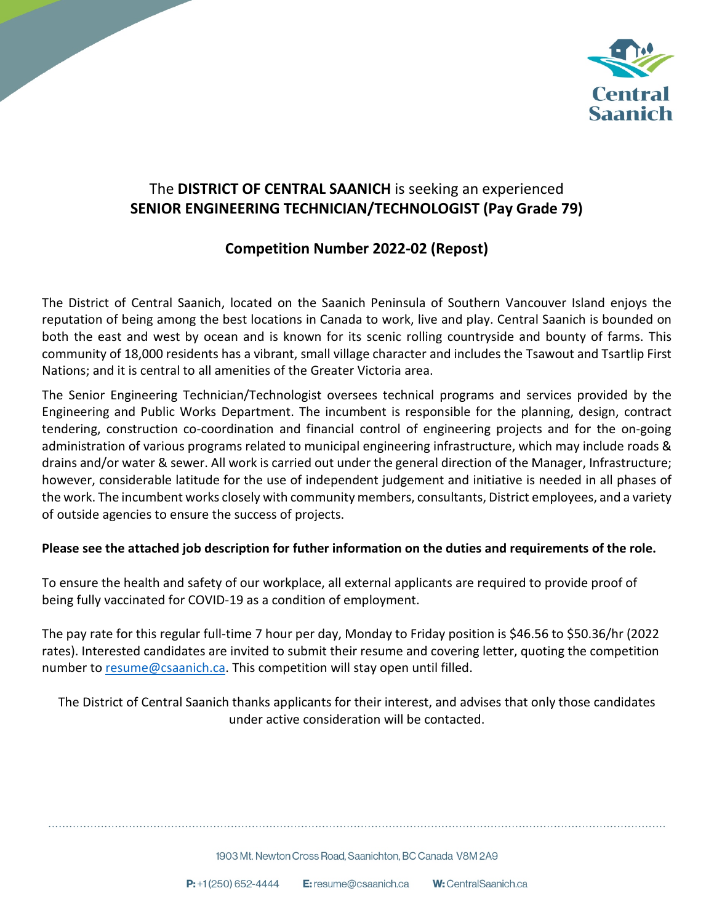

# The **DISTRICT OF CENTRAL SAANICH** is seeking an experienced **SENIOR ENGINEERING TECHNICIAN/TECHNOLOGIST (Pay Grade 79)**

# **Competition Number 2022-02 (Repost)**

The District of Central Saanich, located on the Saanich Peninsula of Southern Vancouver Island enjoys the reputation of being among the best locations in Canada to work, live and play. Central Saanich is bounded on both the east and west by ocean and is known for its scenic rolling countryside and bounty of farms. This community of 18,000 residents has a vibrant, small village character and includes the Tsawout and Tsartlip First Nations; and it is central to all amenities of the Greater Victoria area.

The Senior Engineering Technician/Technologist oversees technical programs and services provided by the Engineering and Public Works Department. The incumbent is responsible for the planning, design, contract tendering, construction co-coordination and financial control of engineering projects and for the on-going administration of various programs related to municipal engineering infrastructure, which may include roads & drains and/or water & sewer. All work is carried out under the general direction of the Manager, Infrastructure; however, considerable latitude for the use of independent judgement and initiative is needed in all phases of the work. The incumbent works closely with community members, consultants, District employees, and a variety of outside agencies to ensure the success of projects.

## **Please see the attached job description for futher information on the duties and requirements of the role.**

To ensure the health and safety of our workplace, all external applicants are required to provide proof of being fully vaccinated for COVID-19 as a condition of employment.

The pay rate for this regular full-time 7 hour per day, Monday to Friday position is \$46.56 to \$50.36/hr (2022 rates). Interested candidates are invited to submit their resume and covering letter, quoting the competition number to [resume@csaanich.ca.](mailto:resume@csaanich.ca) This competition will stay open until filled.

The District of Central Saanich thanks applicants for their interest, and advises that only those candidates under active consideration will be contacted.

1903 Mt. Newton Cross Road. Saanichton, BC Canada V8M 2A9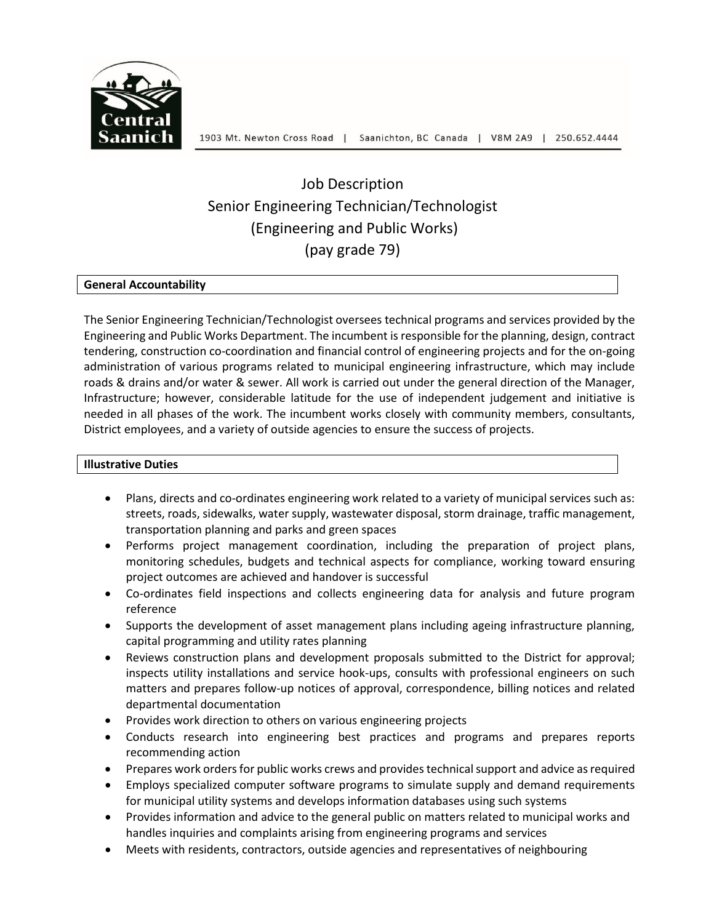

# Job Description Senior Engineering Technician/Technologist (Engineering and Public Works) (pay grade 79)

## **General Accountability**

The Senior Engineering Technician/Technologist oversees technical programs and services provided by the Engineering and Public Works Department. The incumbent is responsible for the planning, design, contract tendering, construction co-coordination and financial control of engineering projects and for the on-going administration of various programs related to municipal engineering infrastructure, which may include roads & drains and/or water & sewer. All work is carried out under the general direction of the Manager, Infrastructure; however, considerable latitude for the use of independent judgement and initiative is needed in all phases of the work. The incumbent works closely with community members, consultants, District employees, and a variety of outside agencies to ensure the success of projects.

### **Illustrative Duties**

- Plans, directs and co-ordinates engineering work related to a variety of municipal services such as: streets, roads, sidewalks, water supply, wastewater disposal, storm drainage, traffic management, transportation planning and parks and green spaces
- Performs project management coordination, including the preparation of project plans, monitoring schedules, budgets and technical aspects for compliance, working toward ensuring project outcomes are achieved and handover is successful
- Co-ordinates field inspections and collects engineering data for analysis and future program reference
- Supports the development of asset management plans including ageing infrastructure planning, capital programming and utility rates planning
- Reviews construction plans and development proposals submitted to the District for approval; inspects utility installations and service hook-ups, consults with professional engineers on such matters and prepares follow-up notices of approval, correspondence, billing notices and related departmental documentation
- Provides work direction to others on various engineering projects
- Conducts research into engineering best practices and programs and prepares reports recommending action
- Prepares work orders for public works crews and provides technical support and advice as required
- Employs specialized computer software programs to simulate supply and demand requirements for municipal utility systems and develops information databases using such systems
- Provides information and advice to the general public on matters related to municipal works and handles inquiries and complaints arising from engineering programs and services
- Meets with residents, contractors, outside agencies and representatives of neighbouring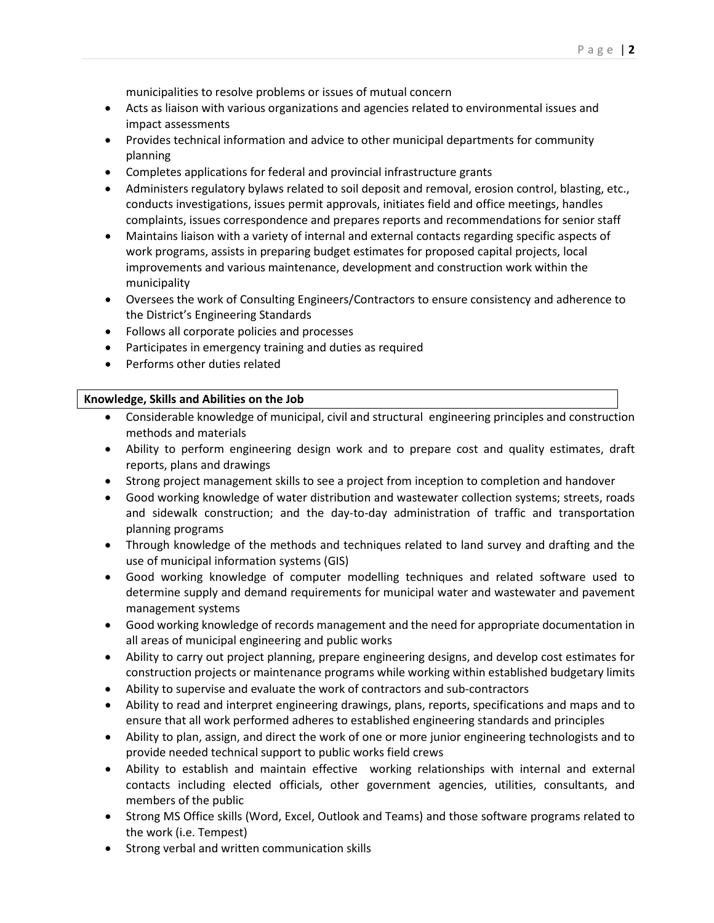municipalities to resolve problems or issues of mutual concern

- Acts as liaison with various organizations and agencies related to environmental issues and impact assessments
- Provides technical information and advice to other municipal departments for community planning
- Completes applications for federal and provincial infrastructure grants
- Administers regulatory bylaws related to soil deposit and removal, erosion control, blasting, etc., conducts investigations, issues permit approvals, initiates field and office meetings, handles complaints, issues correspondence and prepares reports and recommendations for senior staff
- Maintains liaison with a variety of internal and external contacts regarding specific aspects of work programs, assists in preparing budget estimates for proposed capital projects, local improvements and various maintenance, development and construction work within the municipality
- Oversees the work of Consulting Engineers/Contractors to ensure consistency and adherence to the District's Engineering Standards
- Follows all corporate policies and processes
- Participates in emergency training and duties as required
- Performs other duties related

#### **Knowledge, Skills and Abilities on the Job**

- Considerable knowledge of municipal, civil and structural engineering principles and construction methods and materials
- Ability to perform engineering design work and to prepare cost and quality estimates, draft reports, plans and drawings
- Strong project management skills to see a project from inception to completion and handover
- Good working knowledge of water distribution and wastewater collection systems; streets, roads and sidewalk construction; and the day-to-day administration of traffic and transportation planning programs
- Through knowledge of the methods and techniques related to land survey and drafting and the use of municipal information systems (GIS)
- Good working knowledge of computer modelling techniques and related software used to determine supply and demand requirements for municipal water and wastewater and pavement management systems
- Good working knowledge of records management and the need for appropriate documentation in all areas of municipal engineering and public works
- Ability to carry out project planning, prepare engineering designs, and develop cost estimates for construction projects or maintenance programs while working within established budgetary limits
- Ability to supervise and evaluate the work of contractors and sub-contractors
- Ability to read and interpret engineering drawings, plans, reports, specifications and maps and to ensure that all work performed adheres to established engineering standards and principles
- Ability to plan, assign, and direct the work of one or more junior engineering technologists and to provide needed technical support to public works field crews
- Ability to establish and maintain effective working relationships with internal and external contacts including elected officials, other government agencies, utilities, consultants, and members of the public
- Strong MS Office skills (Word, Excel, Outlook and Teams) and those software programs related to the work (i.e. Tempest)
- Strong verbal and written communication skills